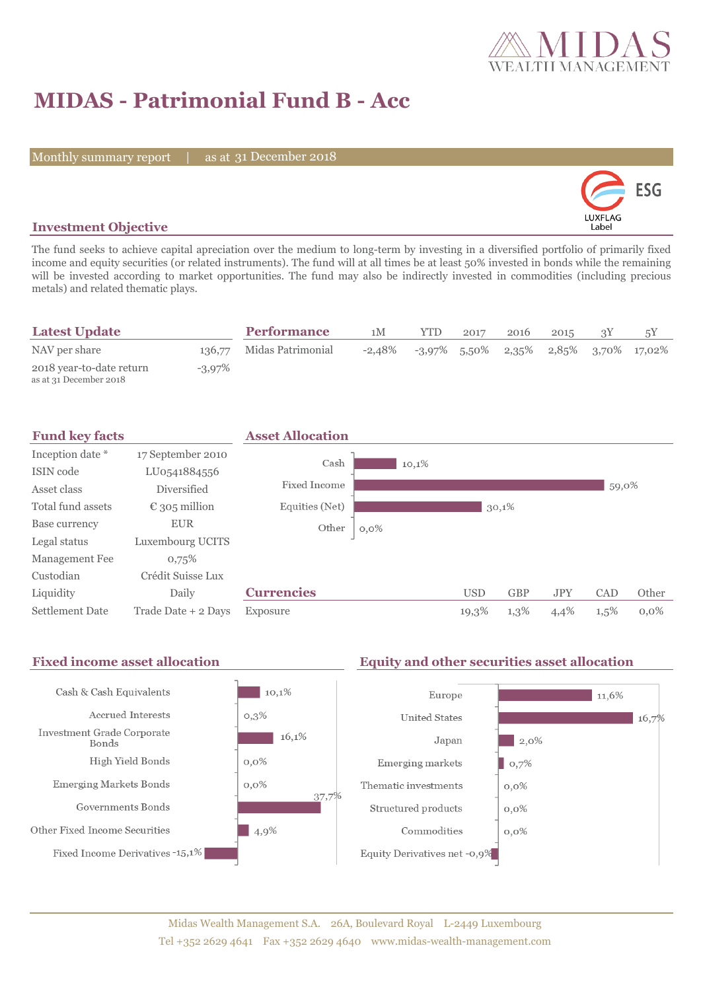

# **MIDAS - Patrimonial Fund B - Acc**

Monthly summary report | as at 31 December 2018



### **Investment Objective**

The fund seeks to achieve capital apreciation over the medium to long-term by investing in a diversified portfolio of primarily fixed income and equity securities (or related instruments). The fund will at all times be at least 50% invested in bonds while the remaining will be invested according to market opportunities. The fund may also be indirectly invested in commodities (including precious metals) and related thematic plays.

| <b>Latest Update</b>                               |           | <b>Performance</b>       | 1M | <b>YTD</b>                                              | 2017 | 2016 | 2015 |  |
|----------------------------------------------------|-----------|--------------------------|----|---------------------------------------------------------|------|------|------|--|
| NAV per share                                      |           | 136,77 Midas Patrimonial |    | $-2,48\%$ $-3,97\%$ 5,50\% 2,35\% 2,85\% 3,70\% 17,02\% |      |      |      |  |
| 2018 year-to-date return<br>as at 31 December 2018 | $-3.97\%$ |                          |    |                                                         |      |      |      |  |

| <b>Fund key facts</b>  |                        | <b>Asset Allocation</b> |         |            |            |            |         |         |
|------------------------|------------------------|-------------------------|---------|------------|------------|------------|---------|---------|
| Inception date *       | 17 September 2010      | Cash                    |         |            |            |            |         |         |
| ISIN code              | LU0541884556           |                         | 10,1%   |            |            |            |         |         |
| Asset class            | <b>Diversified</b>     | Fixed Income            |         |            |            |            | 59,0%   |         |
| Total fund assets      | $\epsilon$ 305 million | Equities (Net)          |         |            | 30,1%      |            |         |         |
| Base currency          | <b>EUR</b>             | Other                   | $0,0\%$ |            |            |            |         |         |
| Legal status           | Luxembourg UCITS       |                         |         |            |            |            |         |         |
| Management Fee         | 0,75%                  |                         |         |            |            |            |         |         |
| Custodian              | Crédit Suisse Lux      |                         |         |            |            |            |         |         |
| Liquidity              | Daily                  | <b>Currencies</b>       |         | <b>USD</b> | <b>GBP</b> | <b>JPY</b> | CAD     | Other   |
| <b>Settlement Date</b> | Trade Date + 2 Days    | Exposure                |         | 19,3%      | 1,3%       | 4,4%       | $1,5\%$ | $0.0\%$ |

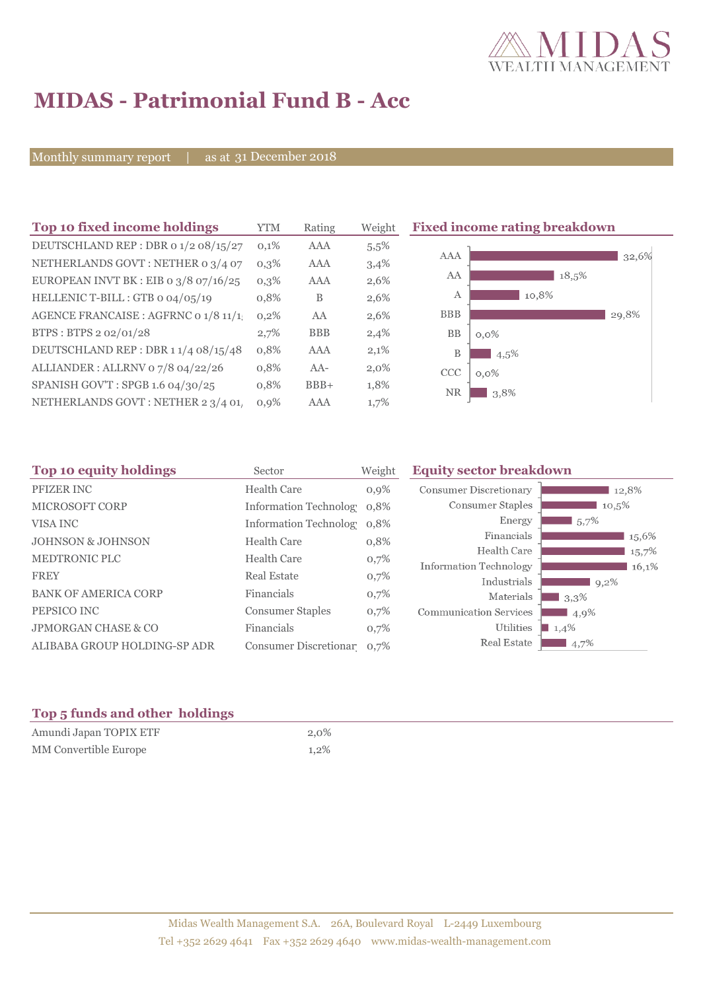

# **MIDAS - Patrimonial Fund B - Acc**

Monthly summary report | as at 31 December 2018

| Top 10 fixed income holdings            | <b>YTM</b> | Rating     | Weight  | <b>Fixed income rating breakdown</b> |
|-----------------------------------------|------------|------------|---------|--------------------------------------|
| DEUTSCHLAND REP : DBR 0 1/2 08/15/27    | 0,1%       | AAA        | 5,5%    |                                      |
| NETHERLANDS GOVT: NETHER 0 3/4 07       | $0,3\%$    | AAA        | 3,4%    | AAA<br>32,6%                         |
| EUROPEAN INVT BK : EIB o $3/8$ 07/16/25 | $0,3\%$    | AAA        | 2,6%    | AA<br>18,5%                          |
| HELLENIC T-BILL : GTB 0 04/05/19        | 0,8%       | B          | 2,6%    | 10,8%<br>А                           |
| AGENCE FRANCAISE : AGFRNC 0 1/8 11/1    | 0,2%       | AA         | 2,6%    | <b>BBB</b><br>29,8%                  |
| BTPS: BTPS 2 02/01/28                   | 2,7%       | <b>BBB</b> | 2,4%    | <b>BB</b><br>$0,0\%$                 |
| DEUTSCHLAND REP: DBR 1 1/4 08/15/48     | 0,8%       | AAA        | 2,1%    | B<br>$4.5\%$                         |
| ALLIANDER: ALLRNV 07/8 04/22/26         | 0,8%       | $AA-$      | $2,0\%$ | <b>CCC</b><br>$0,0\%$                |
| SPANISH GOV'T: SPGB 1.6 04/30/25        | 0,8%       | $BBB+$     | 1,8%    | <b>NR</b><br>3,8%                    |
| NETHERLANDS GOVT : NETHER 2 3/4 01      | $0.9\%$    | AAA        | 1,7%    |                                      |

| Top 10 equity holdings         | Sector                     | Weight | <b>Equity sector breakdown</b> |           |
|--------------------------------|----------------------------|--------|--------------------------------|-----------|
| <b>PFIZER INC</b>              | <b>Health Care</b>         | 0,9%   | <b>Consumer Discretionary</b>  | 12,8%     |
| <b>MICROSOFT CORP</b>          | Information Technolog 0.8% |        | Consumer Staples               | 10,5%     |
| VISA INC                       | Information Technolog 0.8% |        | Energy                         | $1,5,7\%$ |
| <b>JOHNSON &amp; JOHNSON</b>   | <b>Health Care</b>         | 0,8%   | Financials                     | 15,6%     |
| <b>MEDTRONIC PLC</b>           | <b>Health Care</b>         | 0,7%   | Health Care                    | 15,7%     |
|                                |                            |        | Information Technology         | 16,1%     |
| <b>FREY</b>                    | <b>Real Estate</b>         | 0,7%   | Industrials                    | $9,2\%$   |
| <b>BANK OF AMERICA CORP</b>    | Financials                 | 0,7%   | Materials                      | 3,3%      |
| PEPSICO INC                    | <b>Consumer Staples</b>    | 0,7%   | <b>Communication Services</b>  | 4,9%      |
| <b>JPMORGAN CHASE &amp; CO</b> | Financials                 | 0,7%   | Utilities                      | 1,4%      |
| ALIBABA GROUP HOLDING-SP ADR   | Consumer Discretionar 0,7% |        | Real Estate                    | $4,7\%$   |

### **Top 5 funds and other holdings**

| Amundi Japan TOPIX ETF | $2.0\%$ |
|------------------------|---------|
| MM Convertible Europe  | $1.2\%$ |